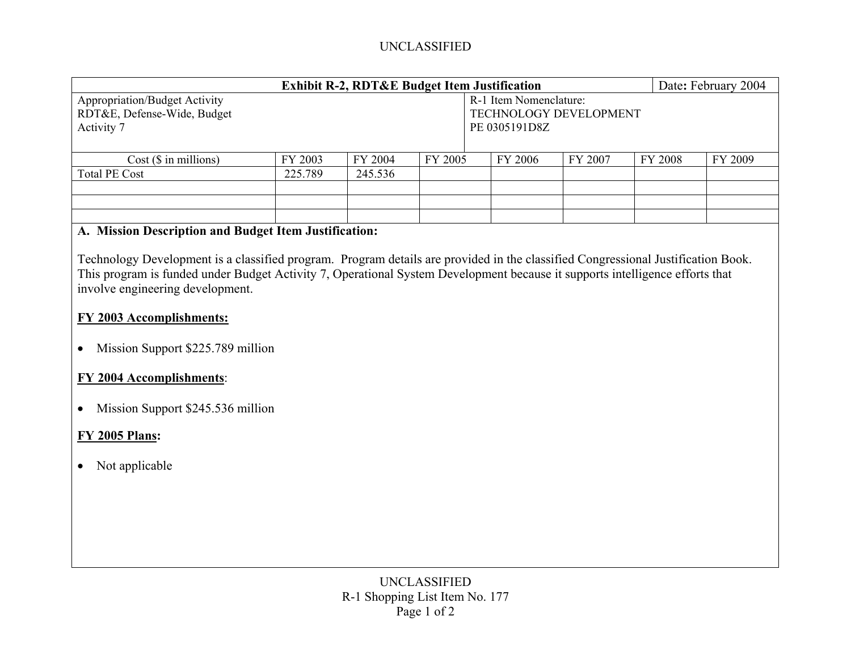# UNCLASSIFIED

| <b>Exhibit R-2, RDT&amp;E Budget Item Justification</b>                           |         |         |         |  |                                                                          |         |         | Date: February 2004 |  |
|-----------------------------------------------------------------------------------|---------|---------|---------|--|--------------------------------------------------------------------------|---------|---------|---------------------|--|
| <b>Appropriation/Budget Activity</b><br>RDT&E, Defense-Wide, Budget<br>Activity 7 |         |         |         |  | R-1 Item Nomenclature:<br><b>TECHNOLOGY DEVELOPMENT</b><br>PE 0305191D8Z |         |         |                     |  |
| $Cost ($$ in millions)                                                            | FY 2003 | FY 2004 | FY 2005 |  | FY 2006                                                                  | FY 2007 | FY 2008 | FY 2009             |  |
| <b>Total PE Cost</b>                                                              | 225.789 | 245.536 |         |  |                                                                          |         |         |                     |  |
|                                                                                   |         |         |         |  |                                                                          |         |         |                     |  |
|                                                                                   |         |         |         |  |                                                                          |         |         |                     |  |
|                                                                                   |         |         |         |  |                                                                          |         |         |                     |  |

#### **A. Mission Description and Budget Item Justification:**

Technology Development is a classified program. Program details are provided in the classified Congressional Justification Book. This program is funded under Budget Activity 7, Operational System Development because it supports intelligence efforts that involve engineering development.

# **FY 2003 Accomplishments:**

• Mission Support \$225.789 million

### **FY 2004 Accomplishments**:

• Mission Support \$245.536 million

# **FY 2005 Plans:**

• Not applicable